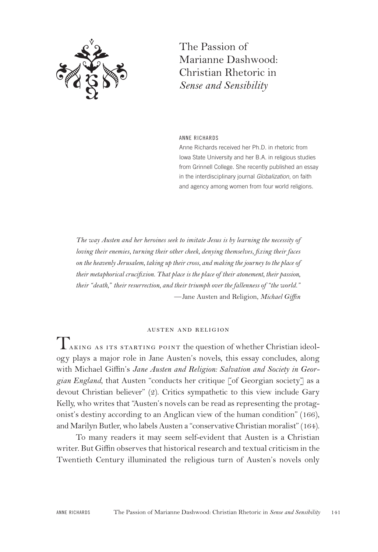

The Passion of Marianne Dashwood: Christian Rhetoric in *Sense and Sensibility*

ANNE RICHARDS

Anne Richards received her Ph.D. in rhetoric from Iowa State University and her B.A. in religious studies from Grinnell College. She recently published an essay in the interdisciplinary journal *Globalization*, on faith and agency among women from four world religions.

*The way Austen and her heroines seek to imitate Jesus is by learning the necessity of loving their enemies, turning their other cheek, denying themselves, fixing their faces on the heavenly Jerusalem, taking up their cross, and making the journey to the place of their metaphorical crucifixion. That place is the place of their atonement, their passion, their "death," their resurrection, and their triumph over the fallenness of "the world."* —Jane Austen and Religion, *Michael Giffin*

#### austen and religion

 $\rm T_{\rm AKING\ AS\ ITS\ STARTING\ POINT}$  the question of whether Christian ideology plays a major role in Jane Austen's novels, this essay concludes, along with Michael Giffin's *Jane Austen and Religion: Salvation and Society in Georgian England*, that Austen "conducts her critique [of Georgian society] as a devout Christian believer" (2). Critics sympathetic to this view include Gary Kelly, who writes that "Austen's novels can be read as representing the protagonist's destiny according to an Anglican view of the human condition" (166), and Marilyn Butler, who labels Austen a "conservative Christian moralist" (164).

To many readers it may seem self-evident that Austen is a Christian writer. But Giffin observes that historical research and textual criticism in the Twentieth Century illuminated the religious turn of Austen's novels only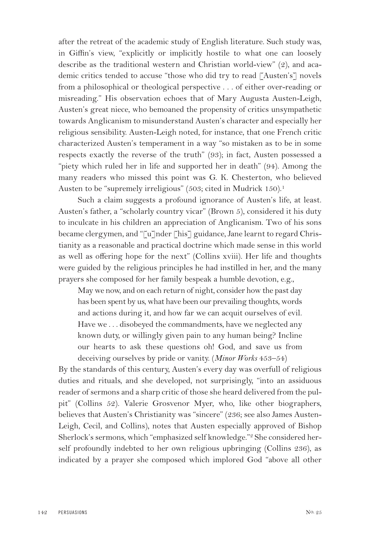after the retreat of the academic study of English literature. Such study was, in Giffin's view, "explicitly or implicitly hostile to what one can loosely describe as the traditional western and Christian world-view" (2), and academic critics tended to accuse "those who did try to read [Austen's] novels from a philosophical or theological perspective . . . of either over-reading or misreading." His observation echoes that of Mary Augusta Austen-Leigh, Austen's great niece, who bemoaned the propensity of critics unsympathetic towards Anglicanism to misunderstand Austen's character and especially her religious sensibility. Austen-Leigh noted, for instance, that one French critic characterized Austen's temperament in a way "so mistaken as to be in some respects exactly the reverse of the truth" (93); in fact, Austen possessed a "piety which ruled her in life and supported her in death" (94). Among the many readers who missed this point was G. K. Chesterton, who believed Austen to be "supremely irreligious" (503; cited in Mudrick 150).<sup>1</sup>

Such a claim suggests a profound ignorance of Austen's life, at least. Austen's father, a "scholarly country vicar" (Brown 5), considered it his duty to inculcate in his children an appreciation of Anglicanism. Two of his sons became clergymen, and "[u]nder [his] guidance, Jane learnt to regard Christianity as a reasonable and practical doctrine which made sense in this world as well as offering hope for the next" (Collins xviii). Her life and thoughts were guided by the religious principles he had instilled in her, and the many prayers she composed for her family bespeak a humble devotion, e.g.,

May we now, and on each return of night, consider how the past day has been spent by us, what have been our prevailing thoughts, words and actions during it, and how far we can acquit ourselves of evil. Have we . . . disobeyed the commandments, have we neglected any known duty, or willingly given pain to any human being? Incline our hearts to ask these questions oh! God, and save us from deceiving ourselves by pride or vanity. (*Minor Works* 453–54)

By the standards of this century, Austen's every day was overfull of religious duties and rituals, and she developed, not surprisingly, "into an assiduous reader of sermons and a sharp critic of those she heard delivered from the pulpit" (Collins 52). Valerie Grosvenor Myer, who, like other biographers, believes that Austen's Christianity was "sincere" (236; see also James Austen-Leigh, Cecil, and Collins), notes that Austen especially approved of Bishop Sherlock's sermons, which "emphasized self knowledge."<sup>2</sup> She considered herself profoundly indebted to her own religious upbringing (Collins 236), as indicated by a prayer she composed which implored God "above all other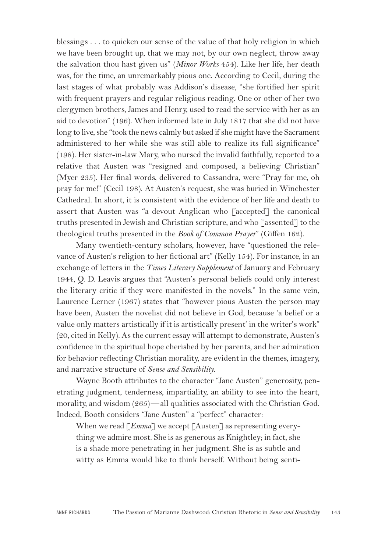blessings . . . to quicken our sense of the value of that holy religion in which we have been brought up, that we may not, by our own neglect, throw away the salvation thou hast given us" (*Minor Works* 454). Like her life, her death was, for the time, an unremarkably pious one. According to Cecil, during the last stages of what probably was Addison's disease, "she fortified her spirit with frequent prayers and regular religious reading. One or other of her two clergymen brothers, James and Henry, used to read the service with her as an aid to devotion" (196). When informed late in July 1817 that she did not have long to live, she "took the news calmly but asked if she might have the Sacrament administered to her while she was still able to realize its full significance" (198). Her sister-in-law Mary, who nursed the invalid faithfully, reported to a relative that Austen was "resigned and composed, a believing Christian" (Myer 235). Her final words, delivered to Cassandra, were "Pray for me, oh pray for me!" (Cecil 198). At Austen's request, she was buried in Winchester Cathedral. In short, it is consistent with the evidence of her life and death to assert that Austen was "a devout Anglican who [accepted] the canonical truths presented in Jewish and Christian scripture, and who [assented] to the theological truths presented in the *Book of Common Prayer*" (Giffen 162).

Many twentieth-century scholars, however, have "questioned the relevance of Austen's religion to her fictional art" (Kelly 154). For instance, in an exchange of letters in the *Times Literary Supplement* of January and February 1944, Q. D. Leavis argues that "Austen's personal beliefs could only interest the literary critic if they were manifested in the novels." In the same vein, Laurence Lerner (1967) states that "however pious Austen the person may have been, Austen the novelist did not believe in God, because 'a belief or a value only matters artistically if it is artistically present' in the writer's work" (20, cited in Kelly). As the current essay will attempt to demonstrate, Austen's confidence in the spiritual hope cherished by her parents, and her admiration for behavior reflecting Christian morality, are evident in the themes, imagery, and narrative structure of *Sense and Sensibility*.

Wayne Booth attributes to the character "Jane Austen" generosity, penetrating judgment, tenderness, impartiality, an ability to see into the heart, morality, and wisdom (265)—all qualities associated with the Christian God. Indeed, Booth considers "Jane Austen" a "perfect" character:

When we read [*Emma*] we accept [Austen] as representing everything we admire most. She is as generous as Knightley; in fact, she is a shade more penetrating in her judgment. She is as subtle and witty as Emma would like to think herself. Without being senti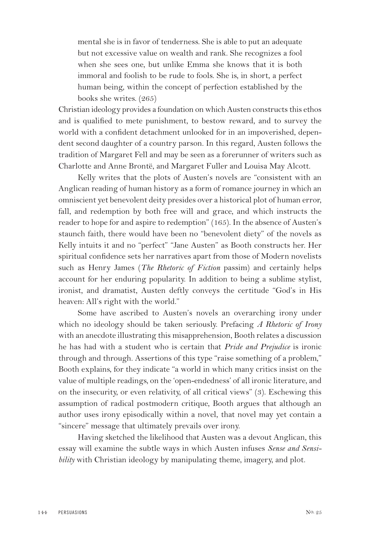mental she is in favor of tenderness. She is able to put an adequate but not excessive value on wealth and rank. She recognizes a fool when she sees one, but unlike Emma she knows that it is both immoral and foolish to be rude to fools. She is, in short, a perfect human being, within the concept of perfection established by the books she writes. (265)

Christian ideology provides a foundation on which Austen constructs this ethos and is qualified to mete punishment, to bestow reward, and to survey the world with a confident detachment unlooked for in an impoverished, dependent second daughter of a country parson. In this regard, Austen follows the tradition of Margaret Fell and may be seen as a forerunner of writers such as Charlotte and Anne Brontë, and Margaret Fuller and Louisa May Alcott.

Kelly writes that the plots of Austen's novels are "consistent with an Anglican reading of human history as a form of romance journey in which an omniscient yet benevolent deity presides over a historical plot of human error, fall, and redemption by both free will and grace, and which instructs the reader to hope for and aspire to redemption" (165). In the absence of Austen's staunch faith, there would have been no "benevolent diety" of the novels as Kelly intuits it and no "perfect" "Jane Austen" as Booth constructs her. Her spiritual confidence sets her narratives apart from those of Modern novelists such as Henry James (*The Rhetoric of Fiction* passim) and certainly helps account for her enduring popularity. In addition to being a sublime stylist, ironist, and dramatist, Austen deftly conveys the certitude "God's in His heaven: All's right with the world."

Some have ascribed to Austen's novels an overarching irony under which no ideology should be taken seriously. Prefacing *A Rhetoric of Irony* with an anecdote illustrating this misapprehension, Booth relates a discussion he has had with a student who is certain that *Pride and Prejudice* is ironic through and through. Assertions of this type "raise something of a problem," Booth explains, for they indicate "a world in which many critics insist on the value of multiple readings, on the 'open-endedness' of all ironic literature, and on the insecurity, or even relativity, of all critical views" (3). Eschewing this assumption of radical postmodern critique, Booth argues that although an author uses irony episodically within a novel, that novel may yet contain a "sincere" message that ultimately prevails over irony.

Having sketched the likelihood that Austen was a devout Anglican, this essay will examine the subtle ways in which Austen infuses *Sense and Sensibility* with Christian ideology by manipulating theme, imagery, and plot.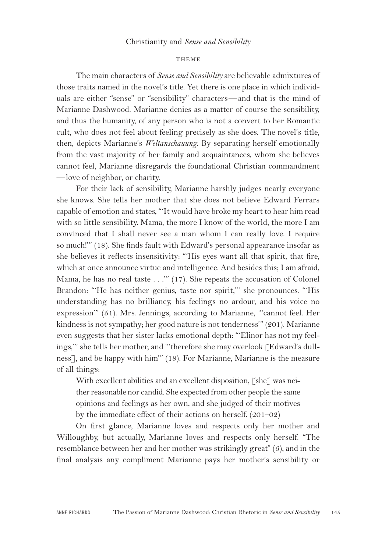# Christianity and *Sense and Sensibility*

#### THEME

The main characters of *Sense and Sensibility* are believable admixtures of those traits named in the novel's title. Yet there is one place in which individuals are either "sense" or "sensibility" characters—and that is the mind of Marianne Dashwood. Marianne denies as a matter of course the sensibility, and thus the humanity, of any person who is not a convert to her Romantic cult, who does not feel about feeling precisely as she does. The novel's title, then, depicts Marianne's *Weltanschauung*. By separating herself emotionally from the vast majority of her family and acquaintances, whom she believes cannot feel, Marianne disregards the foundational Christian commandment —love of neighbor, or charity.

For their lack of sensibility, Marianne harshly judges nearly everyone she knows. She tells her mother that she does not believe Edward Ferrars capable of emotion and states, "'It would have broke my heart to hear him read with so little sensibility. Mama, the more I know of the world, the more I am convinced that I shall never see a man whom I can really love. I require so much!'" (18). She finds fault with Edward's personal appearance insofar as she believes it reflects insensitivity: "'His eyes want all that spirit, that fire, which at once announce virtue and intelligence. And besides this; I am afraid, Mama, he has no real taste . . .'" (17). She repeats the accusation of Colonel Brandon: "'He has neither genius, taste nor spirit,'" she pronounces. "'His understanding has no brilliancy, his feelings no ardour, and his voice no expression'" (51). Mrs. Jennings, according to Marianne, "'cannot feel. Her kindness is not sympathy; her good nature is not tenderness'" (201). Marianne even suggests that her sister lacks emotional depth: "'Elinor has not my feelings,'" she tells her mother, and "'therefore she may overlook [Edward's dullness], and be happy with him'" (18). For Marianne, Marianne is the measure of all things:

With excellent abilities and an excellent disposition, [she] was neither reasonable nor candid. She expected from other people the same opinions and feelings as her own, and she judged of their motives by the immediate effect of their actions on herself. (201–02)

On first glance, Marianne loves and respects only her mother and Willoughby, but actually, Marianne loves and respects only herself. "The resemblance between her and her mother was strikingly great" (6), and in the final analysis any compliment Marianne pays her mother's sensibility or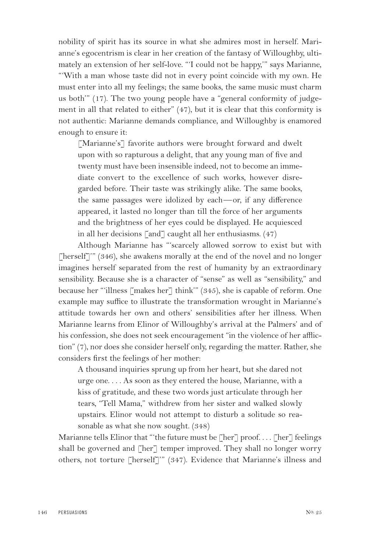nobility of spirit has its source in what she admires most in herself. Marianne's egocentrism is clear in her creation of the fantasy of Willoughby, ultimately an extension of her self-love. "'I could not be happy,'" says Marianne, "'With a man whose taste did not in every point coincide with my own. He must enter into all my feelings; the same books, the same music must charm us both'" (17). The two young people have a "general conformity of judgement in all that related to either" (47), but it is clear that this conformity is not authentic: Marianne demands compliance, and Willoughby is enamored enough to ensure it:

[Marianne's] favorite authors were brought forward and dwelt upon with so rapturous a delight, that any young man of five and twenty must have been insensible indeed, not to become an immediate convert to the excellence of such works, however disregarded before. Their taste was strikingly alike. The same books, the same passages were idolized by each—or, if any difference appeared, it lasted no longer than till the force of her arguments and the brightness of her eyes could be displayed. He acquiesced in all her decisions [and] caught all her enthusiasms. (47)

Although Marianne has "'scarcely allowed sorrow to exist but with [herself]'" (346), she awakens morally at the end of the novel and no longer imagines herself separated from the rest of humanity by an extraordinary sensibility. Because she is a character of "sense" as well as "sensibility," and because her "'illness [makes her] think'" (345), she is capable of reform. One example may suffice to illustrate the transformation wrought in Marianne's attitude towards her own and others' sensibilities after her illness. When Marianne learns from Elinor of Willoughby's arrival at the Palmers' and of his confession, she does not seek encouragement "in the violence of her affliction" (7), nor does she consider herself only, regarding the matter. Rather, she considers first the feelings of her mother:

A thousand inquiries sprung up from her heart, but she dared not urge one. . . . As soon as they entered the house, Marianne, with a kiss of gratitude, and these two words just articulate through her tears, "Tell Mama," withdrew from her sister and walked slowly upstairs. Elinor would not attempt to disturb a solitude so reasonable as what she now sought. (348)

Marianne tells Elinor that "'the future must be [her] proof.... [her] feelings shall be governed and  $\lceil \text{her} \rceil$  temper improved. They shall no longer worry others, not torture [herself]'" (347). Evidence that Marianne's illness and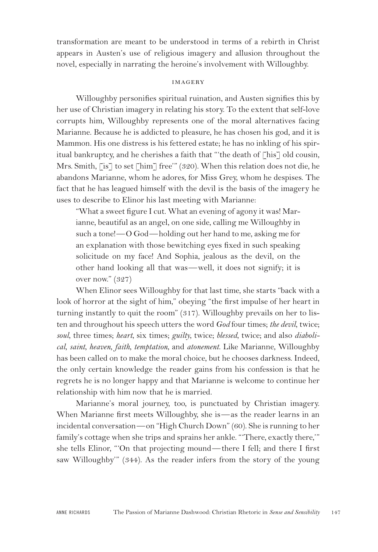transformation are meant to be understood in terms of a rebirth in Christ appears in Austen's use of religious imagery and allusion throughout the novel, especially in narrating the heroine's involvement with Willoughby.

# **IMAGERY**

Willoughby personifies spiritual ruination, and Austen signifies this by her use of Christian imagery in relating his story. To the extent that self-love corrupts him, Willoughby represents one of the moral alternatives facing Marianne. Because he is addicted to pleasure, he has chosen his god, and it is Mammon. His one distress is his fettered estate; he has no inkling of his spiritual bankruptcy, and he cherishes a faith that "'the death of [his] old cousin, Mrs. Smith, [is] to set [him] free'" (320). When this relation does not die, he abandons Marianne, whom he adores, for Miss Grey, whom he despises. The fact that he has leagued himself with the devil is the basis of the imagery he uses to describe to Elinor his last meeting with Marianne:

"What a sweet figure I cut. What an evening of agony it was! Marianne, beautiful as an angel, on one side, calling me Willoughby in such a tone!—O God—holding out her hand to me, asking me for an explanation with those bewitching eyes fixed in such speaking solicitude on my face! And Sophia, jealous as the devil, on the other hand looking all that was—well, it does not signify; it is over now." (327)

When Elinor sees Willoughby for that last time, she starts "back with a look of horror at the sight of him," obeying "the first impulse of her heart in turning instantly to quit the room" (317). Willoughby prevails on her to listen and throughout his speech utters the word *God* four times; *the devil*, twice; *soul*, three times; *heart*, six times; *guilty*, twice; *blessed*, twice; and also *diabolical*, *saint*, *heaven*, *faith*, *temptation*, and *atonement*. Like Marianne, Willoughby has been called on to make the moral choice, but he chooses darkness. Indeed, the only certain knowledge the reader gains from his confession is that he regrets he is no longer happy and that Marianne is welcome to continue her relationship with him now that he is married.

Marianne's moral journey, too, is punctuated by Christian imagery. When Marianne first meets Willoughby, she is—as the reader learns in an incidental conversation—on "High Church Down" (60). She is running to her family's cottage when she trips and sprains her ankle. "'There, exactly there,'" she tells Elinor, "'On that projecting mound—there I fell; and there I first saw Willoughby'" (344). As the reader infers from the story of the young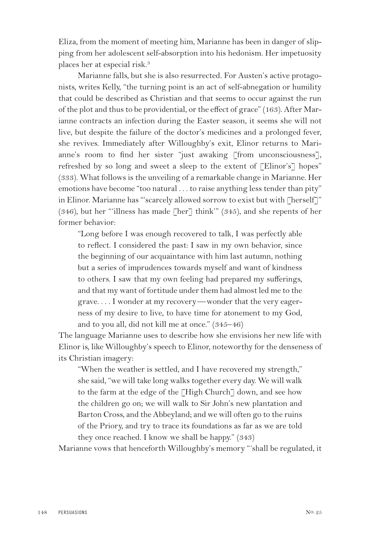Eliza, from the moment of meeting him, Marianne has been in danger of slipping from her adolescent self-absorption into his hedonism. Her impetuosity places her at especial risk.3

Marianne falls, but she is also resurrected. For Austen's active protagonists, writes Kelly, "the turning point is an act of self-abnegation or humility that could be described as Christian and that seems to occur against the run of the plot and thus to be providential, or the effect of grace" (163). After Marianne contracts an infection during the Easter season, it seems she will not live, but despite the failure of the doctor's medicines and a prolonged fever, she revives. Immediately after Willoughby's exit, Elinor returns to Marianne's room to find her sister "just awaking [from unconsciousness], refreshed by so long and sweet a sleep to the extent of [Elinor's] hopes" (333). What follows is the unveiling of a remarkable change in Marianne. Her emotions have become "too natural . . . to raise anything less tender than pity" in Elinor. Marianne has "'scarcely allowed sorrow to exist but with [herself]" (346), but her "'illness has made  $\lceil \text{her} \rceil$  think'" (345), and she repents of her former behavior:

"Long before I was enough recovered to talk, I was perfectly able to reflect. I considered the past: I saw in my own behavior, since the beginning of our acquaintance with him last autumn, nothing but a series of imprudences towards myself and want of kindness to others. I saw that my own feeling had prepared my sufferings, and that my want of fortitude under them had almost led me to the grave. . . . I wonder at my recovery—wonder that the very eagerness of my desire to live, to have time for atonement to my God, and to you all, did not kill me at once." (345–46)

The language Marianne uses to describe how she envisions her new life with Elinor is, like Willoughby's speech to Elinor, noteworthy for the denseness of its Christian imagery:

"When the weather is settled, and I have recovered my strength," she said, "we will take long walks together every day. We will walk to the farm at the edge of the [High Church] down, and see how the children go on; we will walk to Sir John's new plantation and Barton Cross, and the Abbeyland; and we will often go to the ruins of the Priory, and try to trace its foundations as far as we are told they once reached. I know we shall be happy." (343)

Marianne vows that henceforth Willoughby's memory "'shall be regulated, it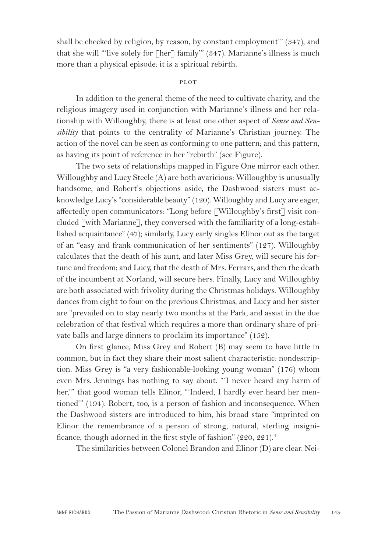shall be checked by religion, by reason, by constant employment'" (347), and that she will "'live solely for [her] family'" (347). Marianne's illness is much more than a physical episode: it is a spiritual rebirth.

# plot

In addition to the general theme of the need to cultivate charity, and the religious imagery used in conjunction with Marianne's illness and her relationship with Willoughby, there is at least one other aspect of *Sense and Sensibility* that points to the centrality of Marianne's Christian journey. The action of the novel can be seen as conforming to one pattern; and this pattern, as having its point of reference in her "rebirth" (see Figure).

The two sets of relationships mapped in Figure One mirror each other. Willoughby and Lucy Steele (A) are both avaricious: Willoughby is unusually handsome, and Robert's objections aside, the Dashwood sisters must acknowledge Lucy's "considerable beauty" (120). Willoughby and Lucy are eager, affectedly open communicators: "Long before [Willoughby's first] visit concluded [with Marianne], they conversed with the familiarity of a long-established acquaintance" (47); similarly, Lucy early singles Elinor out as the target of an "easy and frank communication of her sentiments" (127). Willoughby calculates that the death of his aunt, and later Miss Grey, will secure his fortune and freedom; and Lucy, that the death of Mrs. Ferrars, and then the death of the incumbent at Norland, will secure hers. Finally, Lucy and Willoughby are both associated with frivolity during the Christmas holidays. Willoughby dances from eight to four on the previous Christmas, and Lucy and her sister are "prevailed on to stay nearly two months at the Park, and assist in the due celebration of that festival which requires a more than ordinary share of private balls and large dinners to proclaim its importance" (152).

On first glance, Miss Grey and Robert (B) may seem to have little in common, but in fact they share their most salient characteristic: nondescription. Miss Grey is "a very fashionable-looking young woman" (176) whom even Mrs. Jennings has nothing to say about. "'I never heard any harm of her,'" that good woman tells Elinor, "'Indeed, I hardly ever heard her mentioned'" (194). Robert, too, is a person of fashion and inconsequence. When the Dashwood sisters are introduced to him, his broad stare "imprinted on Elinor the remembrance of a person of strong, natural, sterling insignificance, though adorned in the first style of fashion"  $(220, 221)^4$ 

The similarities between Colonel Brandon and Elinor (D) are clear. Nei-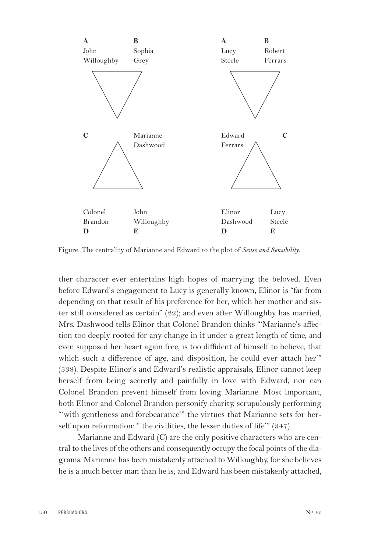

Figure. The centrality of Marianne and Edward to the plot of *Sense and Sensibility*.

ther character ever entertains high hopes of marrying the beloved. Even before Edward's engagement to Lucy is generally known, Elinor is "far from depending on that result of his preference for her, which her mother and sister still considered as certain" (22); and even after Willoughby has married, Mrs. Dashwood tells Elinor that Colonel Brandon thinks "'Marianne's affection too deeply rooted for any change in it under a great length of time, and even supposed her heart again free, is too diffident of himself to believe, that which such a difference of age, and disposition, he could ever attach her" (338). Despite Elinor's and Edward's realistic appraisals, Elinor cannot keep herself from being secretly and painfully in love with Edward, nor can Colonel Brandon prevent himself from loving Marianne. Most important, both Elinor and Colonel Brandon personify charity, scrupulously performing "'with gentleness and forebearance'" the virtues that Marianne sets for herself upon reformation: "'the civilities, the lesser duties of life'" (347).

Marianne and Edward (C) are the only positive characters who are central to the lives of the others and consequently occupy the focal points of the diagrams. Marianne has been mistakenly attached to Willoughby, for she believes he is a much better man than he is; and Edward has been mistakenly attached,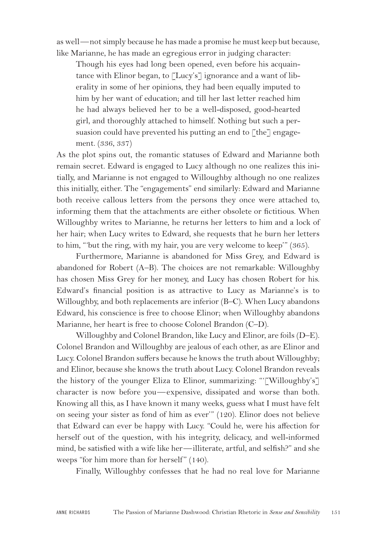as well—not simply because he has made a promise he must keep but because, like Marianne, he has made an egregious error in judging character:

Though his eyes had long been opened, even before his acquaintance with Elinor began, to  $\lceil Lucy's \rceil$  ignorance and a want of liberality in some of her opinions, they had been equally imputed to him by her want of education; and till her last letter reached him he had always believed her to be a well-disposed, good-hearted girl, and thoroughly attached to himself. Nothing but such a persuasion could have prevented his putting an end to  $\lceil$  the<sup> $\rceil$ </sup> engagement. (336, 337)

As the plot spins out, the romantic statuses of Edward and Marianne both remain secret. Edward is engaged to Lucy although no one realizes this initially, and Marianne is not engaged to Willoughby although no one realizes this initially, either. The "engagements" end similarly: Edward and Marianne both receive callous letters from the persons they once were attached to, informing them that the attachments are either obsolete or fictitious. When Willoughby writes to Marianne, he returns her letters to him and a lock of her hair; when Lucy writes to Edward, she requests that he burn her letters to him, "'but the ring, with my hair, you are very welcome to keep'" (365).

Furthermore, Marianne is abandoned for Miss Grey, and Edward is abandoned for Robert (A–B). The choices are not remarkable: Willoughby has chosen Miss Grey for her money, and Lucy has chosen Robert for his. Edward's financial position is as attractive to Lucy as Marianne's is to Willoughby, and both replacements are inferior (B–C). When Lucy abandons Edward, his conscience is free to choose Elinor; when Willoughby abandons Marianne, her heart is free to choose Colonel Brandon (C–D).

Willoughby and Colonel Brandon, like Lucy and Elinor, are foils (D–E). Colonel Brandon and Willoughby are jealous of each other, as are Elinor and Lucy. Colonel Brandon suffers because he knows the truth about Willoughby; and Elinor, because she knows the truth about Lucy. Colonel Brandon reveals the history of the younger Eliza to Elinor, summarizing: "'[Willoughby's] character is now before you—expensive, dissipated and worse than both. Knowing all this, as I have known it many weeks, guess what I must have felt on seeing your sister as fond of him as ever'" (120). Elinor does not believe that Edward can ever be happy with Lucy. "Could he, were his affection for herself out of the question, with his integrity, delicacy, and well-informed mind, be satisfied with a wife like her—illiterate, artful, and selfish?" and she weeps "for him more than for herself" (140).

Finally, Willoughby confesses that he had no real love for Marianne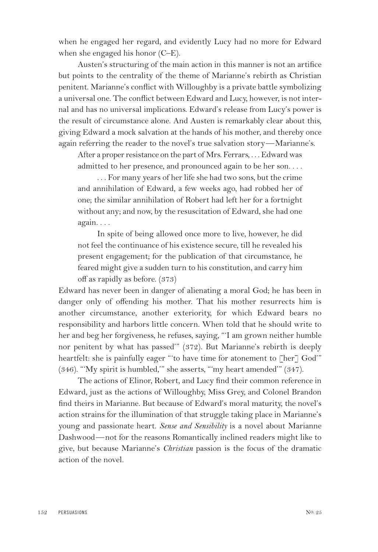when he engaged her regard, and evidently Lucy had no more for Edward when she engaged his honor (C–E).

Austen's structuring of the main action in this manner is not an artifice but points to the centrality of the theme of Marianne's rebirth as Christian penitent. Marianne's conflict with Willoughby is a private battle symbolizing a universal one. The conflict between Edward and Lucy, however, is not internal and has no universal implications. Edward's release from Lucy's power is the result of circumstance alone. And Austen is remarkably clear about this, giving Edward a mock salvation at the hands of his mother, and thereby once again referring the reader to the novel's true salvation story—Marianne's.

After a proper resistance on the part of Mrs. Ferrars, . . . Edward was admitted to her presence, and pronounced again to be her son. . . .

. . . For many years of her life she had two sons, but the crime and annihilation of Edward, a few weeks ago, had robbed her of one; the similar annihilation of Robert had left her for a fortnight without any; and now, by the resuscitation of Edward, she had one again. . . .

In spite of being allowed once more to live, however, he did not feel the continuance of his existence secure, till he revealed his present engagement; for the publication of that circumstance, he feared might give a sudden turn to his constitution, and carry him off as rapidly as before. (373)

Edward has never been in danger of alienating a moral God; he has been in danger only of offending his mother. That his mother resurrects him is another circumstance, another exteriority, for which Edward bears no responsibility and harbors little concern. When told that he should write to her and beg her forgiveness, he refuses, saying, "'I am grown neither humble nor penitent by what has passed'" (372). But Marianne's rebirth is deeply heartfelt: she is painfully eager "to have time for atonement to [her] God'" (346). "'My spirit is humbled,'" she asserts, "'my heart amended'" (347).

The actions of Elinor, Robert, and Lucy find their common reference in Edward, just as the actions of Willoughby, Miss Grey, and Colonel Brandon find theirs in Marianne. But because of Edward's moral maturity, the novel's action strains for the illumination of that struggle taking place in Marianne's young and passionate heart. *Sense and Sensibility* is a novel about Marianne Dashwood—not for the reasons Romantically inclined readers might like to give, but because Marianne's *Christian* passion is the focus of the dramatic action of the novel.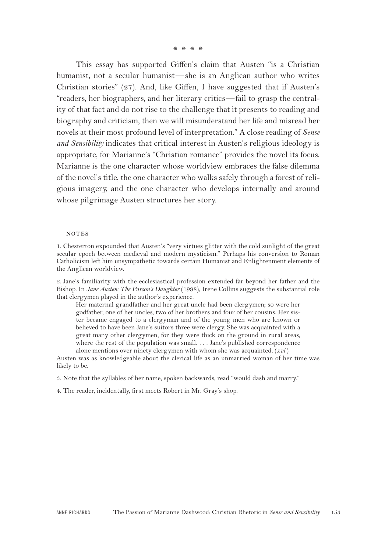\*\*\*\*

This essay has supported Giffen's claim that Austen "is a Christian humanist, not a secular humanist—she is an Anglican author who writes Christian stories" (27). And, like Giffen, I have suggested that if Austen's "readers, her biographers, and her literary critics—fail to grasp the centrality of that fact and do not rise to the challenge that it presents to reading and biography and criticism, then we will misunderstand her life and misread her novels at their most profound level of interpretation." A close reading of *Sense and Sensibility* indicates that critical interest in Austen's religious ideology is appropriate, for Marianne's "Christian romance" provides the novel its focus. Marianne is the one character whose worldview embraces the false dilemma of the novel's title, the one character who walks safely through a forest of religious imagery, and the one character who develops internally and around whose pilgrimage Austen structures her story.

#### **NOTES**

1. Chesterton expounded that Austen's "very virtues glitter with the cold sunlight of the great secular epoch between medieval and modern mysticism." Perhaps his conversion to Roman Catholicism left him unsympathetic towards certain Humanist and Enlightenment elements of the Anglican worldview.

2. Jane's familiarity with the ecclesiastical profession extended far beyond her father and the Bishop. In *Jane Austen: The Parson's Daughter* (1998), Irene Collins suggests the substantial role that clergymen played in the author's experience.

Her maternal grandfather and her great uncle had been clergymen; so were her godfather, one of her uncles, two of her brothers and four of her cousins. Her sister became engaged to a clergyman and of the young men who are known or believed to have been Jane's suitors three were clergy. She was acquainted with a great many other clergymen, for they were thick on the ground in rural areas, where the rest of the population was small. . . . Jane's published correspondence alone mentions over ninety clergymen with whom she was acquainted. (*xvi* )

Austen was as knowledgeable about the clerical life as an unmarried woman of her time was likely to be.

3. Note that the syllables of her name, spoken backwards, read "would dash and marry."

4. The reader, incidentally, first meets Robert in Mr. Gray's shop.